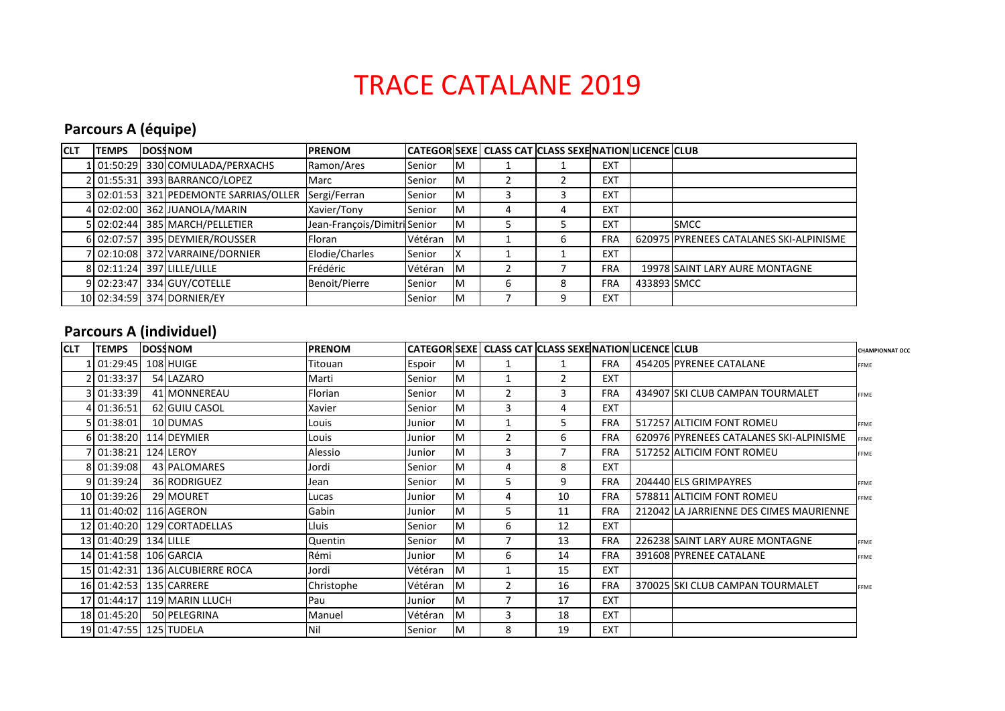# TRACE CATALANE 2019

# **Parcours A (équipe)**

| <b>CLT</b> | <b>TEMPS</b> | <b>DOSSNOM</b>                         | <b>IPRENOM</b>               |         |           | CATEGOR SEXE CLASS CAT CLASS SEXE NATION LICENCE CLUB |   |            |             |                                         |
|------------|--------------|----------------------------------------|------------------------------|---------|-----------|-------------------------------------------------------|---|------------|-------------|-----------------------------------------|
|            |              | 01:50:29 330 COMULADA/PERXACHS         | Ramon/Ares                   | Senior  | ΙM        |                                                       |   | <b>EXT</b> |             |                                         |
|            |              | 2 01:55:31 393 BARRANCO/LOPEZ          | Marc                         | Senior  | ΙM        |                                                       |   | EXT        |             |                                         |
|            |              | 3 02:01:53 321 PEDEMONTE SARRIAS/OLLER | Sergi/Ferran                 | Senior  | ΙM        |                                                       |   | <b>EXT</b> |             |                                         |
|            |              | 4 02:02:00 362 JUANOLA/MARIN           | Xavier/Tony                  | Senior  | ΙM        |                                                       | 4 | EXT        |             |                                         |
|            |              | 5 02:02:44 385 MARCH/PELLETIER         | Jean-François/Dimitri Senior |         | ΙM        |                                                       |   | EXT        |             | <b>SMCC</b>                             |
|            |              | 6 02:07:57 395 DEYMIER/ROUSSER         | Floran                       | Vétéran | ΙM        |                                                       | h | <b>FRA</b> |             | 620975 PYRENEES CATALANES SKI-ALPINISME |
|            |              | 7 02:10:08 372 VARRAINE/DORNIER        | Elodie/Charles               | Senior  | X         |                                                       |   | EXT        |             |                                         |
|            |              | 8 02:11:24 397 LILLE/LILLE             | Frédéric                     | Vétéran | <b>IM</b> |                                                       |   | <b>FRA</b> |             | 19978 SAINT LARY AURE MONTAGNE          |
|            |              | 9 02:23:47 334 GUY/COTELLE             | Benoit/Pierre                | Senior  | ΙM        | h                                                     | ж | <b>FRA</b> | 433893 SMCC |                                         |
|            |              | 10 02:34:59 374 DORNIER/EY             |                              | Senior  | Iм        |                                                       |   | EXT        |             |                                         |

### **Parcours A (individuel)**

| <b>CLT</b> | <b>TEMPS</b>           | <b>DOSS NOM</b>             | <b>PRENOM</b> |         |    | CATEGOR SEXE CLASS CAT CLASS SEXE NATION LICENCE CLUB |    |            |                                         | <b>CHAMPIONNAT OCC</b> |
|------------|------------------------|-----------------------------|---------------|---------|----|-------------------------------------------------------|----|------------|-----------------------------------------|------------------------|
|            | 101:29:45              | 108 HUIGE                   | Titouan       | Espoir  | ΙM |                                                       |    | <b>FRA</b> | 454205 PYRENEE CATALANE                 | <b>FFME</b>            |
|            | 2 01:33:37             | 54 LAZARO                   | Marti         | Senior  | M  |                                                       | 2  | <b>EXT</b> |                                         |                        |
|            | 3 01:33:39             | 41 MONNEREAU                | Florian       | Senior  | M  | $\overline{2}$                                        | 3  | <b>FRA</b> | 434907 SKI CLUB CAMPAN TOURMALET        | FFME                   |
|            | 4 01:36:51             | 62 GUIU CASOL               | Xavier        | Senior  | M  | 3                                                     | 4  | <b>EXT</b> |                                         |                        |
|            | 5 01:38:01             | 10 DUMAS                    | Louis         | Junior  | M  |                                                       | 5  | <b>FRA</b> | 517257 ALTICIM FONT ROMEU               | FFME                   |
|            | 6 01:38:20             | 114 DEYMIER                 | Louis         | Junior  | Iм | $\overline{2}$                                        | 6  | <b>FRA</b> | 620976 PYRENEES CATALANES SKI-ALPINISME | FFME                   |
|            | 7 01:38:21             | 124 LEROY                   | Alessio       | Junior  | M  | 3                                                     | 7  | <b>FRA</b> | 517252 ALTICIM FONT ROMEU               | <b>FFME</b>            |
|            | 8 01:39:08             | 43 PALOMARES                | Jordi         | Senior  | M  | 4                                                     | 8  | <b>EXT</b> |                                         |                        |
|            | 9 01:39:24             | 36 RODRIGUEZ                | Jean          | Senior  | M  | 5                                                     | 9  | <b>FRA</b> | 204440 ELS GRIMPAYRES                   | <b>FFME</b>            |
|            | 10 01:39:26            | 29 MOURET                   | Lucas         | Junior  | M  | 4                                                     | 10 | <b>FRA</b> | 578811 ALTICIM FONT ROMEU               | FFME                   |
|            | 11 01:40:02            | 116 AGERON                  | Gabin         | Junior  | M  | 5                                                     | 11 | <b>FRA</b> | 212042 LA JARRIENNE DES CIMES MAURIENNE |                        |
|            | 12 01:40:20            | 129 CORTADELLAS             | Lluis         | Senior  | M  | 6                                                     | 12 | <b>EXT</b> |                                         |                        |
|            | 13 01:40:29            | 134 LILLE                   | Quentin       | Senior  | M  |                                                       | 13 | <b>FRA</b> | 226238 SAINT LARY AURE MONTAGNE         | FFME                   |
|            | 14 01:41:58 106 GARCIA |                             | Rémi          | Junior  | M  | 6                                                     | 14 | <b>FRA</b> | 391608 PYRENEE CATALANE                 | <b>FFME</b>            |
|            | 15 01:42:31            | 136 ALCUBIERRE ROCA         | Jordi         | Vétéran | Iм |                                                       | 15 | <b>EXT</b> |                                         |                        |
|            | 16 01:42:53            | 135 CARRERE                 | Christophe    | Vétéran | Iм | 2                                                     | 16 | <b>FRA</b> | 370025 SKI CLUB CAMPAN TOURMALET        | <b>FFME</b>            |
|            |                        | 17 01:44:17 119 MARIN LLUCH | Pau           | Junior  | Iм |                                                       | 17 | <b>EXT</b> |                                         |                        |
|            | 18 01:45:20            | 50 PELEGRINA                | Manuel        | Vétéran | Iм | 3                                                     | 18 | <b>EXT</b> |                                         |                        |
|            | 19 01:47:55 125 TUDELA |                             | Nil           | Senior  | Iм | 8                                                     | 19 | <b>EXT</b> |                                         |                        |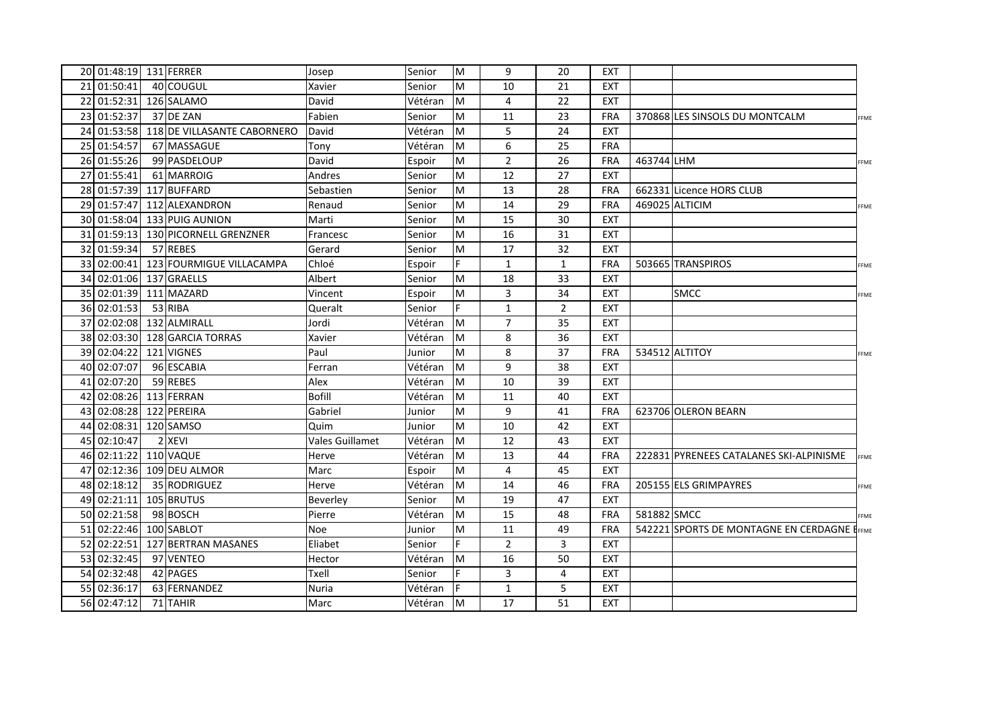| 20 01:48:19 131 FERRER    |                             | Josep           | Senior  | M         | 9              | 20             | <b>EXT</b> |             |                                              |             |
|---------------------------|-----------------------------|-----------------|---------|-----------|----------------|----------------|------------|-------------|----------------------------------------------|-------------|
| 21 01:50:41               | 40 COUGUL                   | Xavier          | Senior  | M         | 10             | 21             | <b>EXT</b> |             |                                              |             |
| 22 01:52:31               | 126 SALAMO                  | David           | Vétéran | M         | 4              | 22             | <b>EXT</b> |             |                                              |             |
| 23 01:52:37               | 37 DE ZAN                   | Fabien          | Senior  | M         | 11             | 23             | <b>FRA</b> |             | 370868 LES SINSOLS DU MONTCALM               | FFME        |
| 24 01:53:58               | 118 DE VILLASANTE CABORNERO | David           | Vétéran | M         | 5              | 24             | <b>EXT</b> |             |                                              |             |
| 25 01:54:57               | 67 MASSAGUE                 | Tony            | Vétéran | M         | 6              | 25             | <b>FRA</b> |             |                                              |             |
| 26 01:55:26               | 99 PASDELOUP                | David           | Espoir  | M         | $\overline{2}$ | 26             | <b>FRA</b> | 463744 LHM  |                                              | FFME        |
| 27 01:55:41               | 61 MARROIG                  | Andres          | Senior  | M         | 12             | 27             | <b>EXT</b> |             |                                              |             |
| 28 01:57:39               | 117 BUFFARD                 | Sebastien       | Senior  | M         | 13             | 28             | <b>FRA</b> |             | 662331 Licence HORS CLUB                     |             |
| 29 01:57:47               | 112 ALEXANDRON              | Renaud          | Senior  | M         | 14             | 29             | <b>FRA</b> |             | 469025 ALTICIM                               | <b>FFME</b> |
|                           | 30 01:58:04 133 PUIG AUNION | Marti           | Senior  | M         | 15             | 30             | <b>EXT</b> |             |                                              |             |
| 31 01:59:13               | 130 PICORNELL GRENZNER      | Francesc        | Senior  | M         | 16             | 31             | <b>EXT</b> |             |                                              |             |
| 32 01:59:34               | 57 REBES                    | Gerard          | Senior  | M         | 17             | 32             | <b>EXT</b> |             |                                              |             |
| 33 02:00:41               | 123 FOURMIGUE VILLACAMPA    | Chloé           | Espoir  | F         | $\mathbf{1}$   | $\mathbf{1}$   | <b>FRA</b> |             | 503665 TRANSPIROS                            | FFME        |
| 34 02:01:06               | 137 GRAELLS                 | Albert          | Senior  | M         | 18             | 33             | <b>EXT</b> |             |                                              |             |
| 35 02:01:39               | 111 MAZARD                  | Vincent         | Espoir  | M         | 3              | 34             | <b>EXT</b> |             | <b>SMCC</b>                                  | FFME        |
| 36 02:01:53               | 53 RIBA                     | Queralt         | Senior  | F         | $\mathbf{1}$   | $\overline{2}$ | <b>EXT</b> |             |                                              |             |
| 37 02:02:08               | 132 ALMIRALL                | Jordi           | Vétéran | M         | $\overline{7}$ | 35             | <b>EXT</b> |             |                                              |             |
| 38 02:03:30               | 128 GARCIA TORRAS           | Xavier          | Vétéran | M         | 8              | 36             | <b>EXT</b> |             |                                              |             |
| 39 02:04:22               | 121 VIGNES                  | Paul            | Junior  | M         | 8              | 37             | <b>FRA</b> |             | 534512 ALTITOY                               | FFME        |
| 40 02:07:07               | 96 ESCABIA                  | Ferran          | Vétéran | M         | 9              | 38             | <b>EXT</b> |             |                                              |             |
| 41 02:07:20               | 59 REBES                    | Alex            | Vétéran | M         | 10             | 39             | <b>EXT</b> |             |                                              |             |
| 42 02:08:26               | 113 FERRAN                  | <b>Bofill</b>   | Vétéran | M         | 11             | 40             | <b>EXT</b> |             |                                              |             |
| 43 02:08:28               | 122 PEREIRA                 | Gabriel         | Junior  | M         | 9              | 41             | <b>FRA</b> |             | 623706 OLERON BEARN                          |             |
| 44 02:08:31               | 120 SAMSO                   | Quim            | Junior  | M         | 10             | 42             | <b>EXT</b> |             |                                              |             |
| 45 02:10:47               | 2 XEVI                      | Vales Guillamet | Vétéran | M         | 12             | 43             | <b>EXT</b> |             |                                              |             |
| 46 02:11:22               | 110 VAQUE                   | Herve           | Vétéran | M         | 13             | 44             | <b>FRA</b> |             | 222831 PYRENEES CATALANES SKI-ALPINISME      | FFME        |
| 47 02:12:36 109 DEU ALMOR |                             | Marc            | Espoir  | M         | 4              | 45             | <b>EXT</b> |             |                                              |             |
| 48 02:18:12               | 35 RODRIGUEZ                | Herve           | Vétéran | Iм        | 14             | 46             | FRA        |             | 205155 ELS GRIMPAYRES                        | FFME        |
| 49 02:21:11               | 105 BRUTUS                  | Beverley        | Senior  | M         | 19             | 47             | <b>EXT</b> |             |                                              |             |
| 50 02:21:58               | 98 BOSCH                    | Pierre          | Vétéran | M         | 15             | 48             | <b>FRA</b> | 581882 SMCC |                                              | FME         |
| 51 02:22:46               | 100 SABLOT                  | Noe             | Junior  | M         | 11             | 49             | <b>FRA</b> |             | 542221 SPORTS DE MONTAGNE EN CERDAGNE LEFENE |             |
| 52 02:22:51               | 127 BERTRAN MASANES         | Eliabet         | Senior  | F         | $\overline{2}$ | 3              | <b>EXT</b> |             |                                              |             |
| 53 02:32:45               | 97 VENTEO                   | Hector          | Vétéran | <b>M</b>  | 16             | 50             | <b>EXT</b> |             |                                              |             |
| 54 02:32:48               | 42 PAGES                    | Txell           | Senior  | F         | 3              | 4              | <b>EXT</b> |             |                                              |             |
| 55 02:36:17               | 63 FERNANDEZ                | Nuria           | Vétéran | F         | $\mathbf{1}$   | 5              | <b>EXT</b> |             |                                              |             |
| 56 02:47:12               | 71 TAHIR                    | Marc            | Vétéran | <b>IM</b> | 17             | 51             | <b>EXT</b> |             |                                              |             |